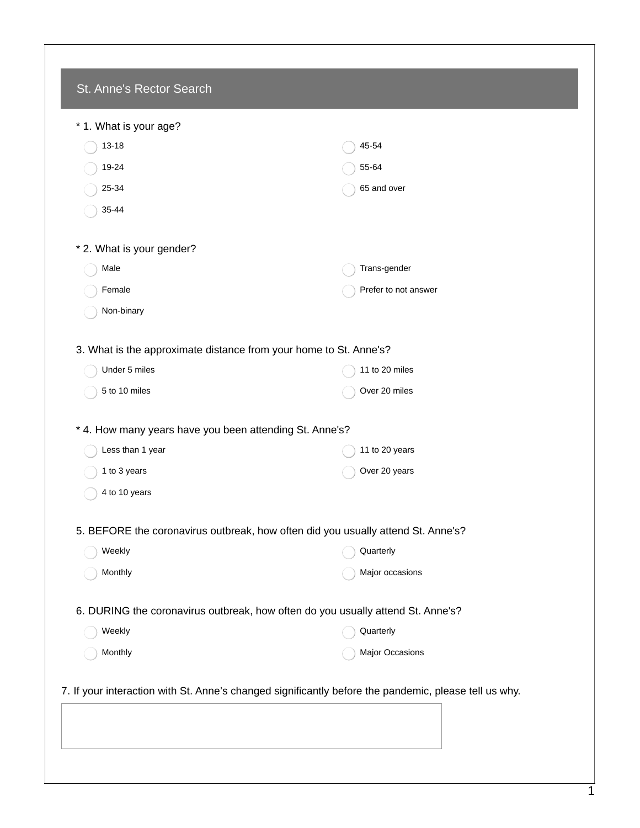| * 1. What is your age?                                            |                                                                                                       |
|-------------------------------------------------------------------|-------------------------------------------------------------------------------------------------------|
| 13-18                                                             | 45-54                                                                                                 |
| 19-24                                                             | 55-64                                                                                                 |
| 25-34                                                             | 65 and over                                                                                           |
| 35-44                                                             |                                                                                                       |
| * 2. What is your gender?                                         |                                                                                                       |
| Male                                                              | Trans-gender                                                                                          |
| Female                                                            | Prefer to not answer                                                                                  |
| Non-binary                                                        |                                                                                                       |
| 3. What is the approximate distance from your home to St. Anne's? |                                                                                                       |
| Under 5 miles                                                     | 11 to 20 miles                                                                                        |
| 5 to 10 miles                                                     | Over 20 miles                                                                                         |
| * 4. How many years have you been attending St. Anne's?           |                                                                                                       |
| Less than 1 year                                                  | 11 to 20 years                                                                                        |
| 1 to 3 years                                                      | Over 20 years                                                                                         |
| 4 to 10 years                                                     |                                                                                                       |
|                                                                   | 5. BEFORE the coronavirus outbreak, how often did you usually attend St. Anne's?                      |
| Weekly                                                            | Quarterly                                                                                             |
| Monthly                                                           | Major occasions                                                                                       |
|                                                                   | 6. DURING the coronavirus outbreak, how often do you usually attend St. Anne's?                       |
| Weekly                                                            | Quarterly                                                                                             |
| Monthly                                                           | Major Occasions                                                                                       |
|                                                                   | 7. If your interaction with St. Anne's changed significantly before the pandemic, please tell us why. |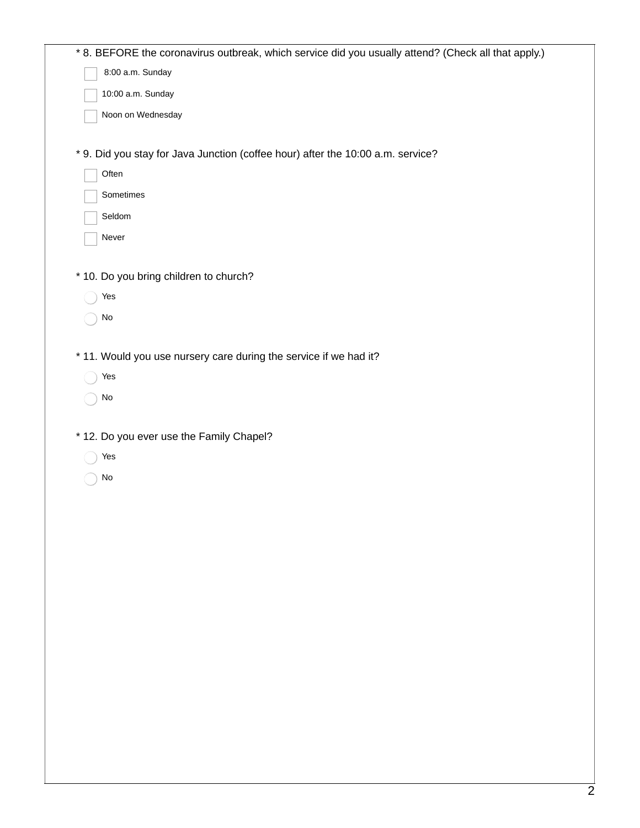| * 8. BEFORE the coronavirus outbreak, which service did you usually attend? (Check all that apply.) |
|-----------------------------------------------------------------------------------------------------|
| 8:00 a.m. Sunday                                                                                    |
| 10:00 a.m. Sunday                                                                                   |
| Noon on Wednesday                                                                                   |
|                                                                                                     |
| * 9. Did you stay for Java Junction (coffee hour) after the 10:00 a.m. service?                     |
| Often                                                                                               |
| Sometimes                                                                                           |
| Seldom                                                                                              |
| Never                                                                                               |
|                                                                                                     |
| * 10. Do you bring children to church?                                                              |
| Yes                                                                                                 |
| No                                                                                                  |
|                                                                                                     |
| * 11. Would you use nursery care during the service if we had it?                                   |
| Yes                                                                                                 |
| No                                                                                                  |
|                                                                                                     |
| * 12. Do you ever use the Family Chapel?                                                            |
| Yes                                                                                                 |
| No                                                                                                  |
|                                                                                                     |
|                                                                                                     |
|                                                                                                     |
|                                                                                                     |
|                                                                                                     |
|                                                                                                     |
|                                                                                                     |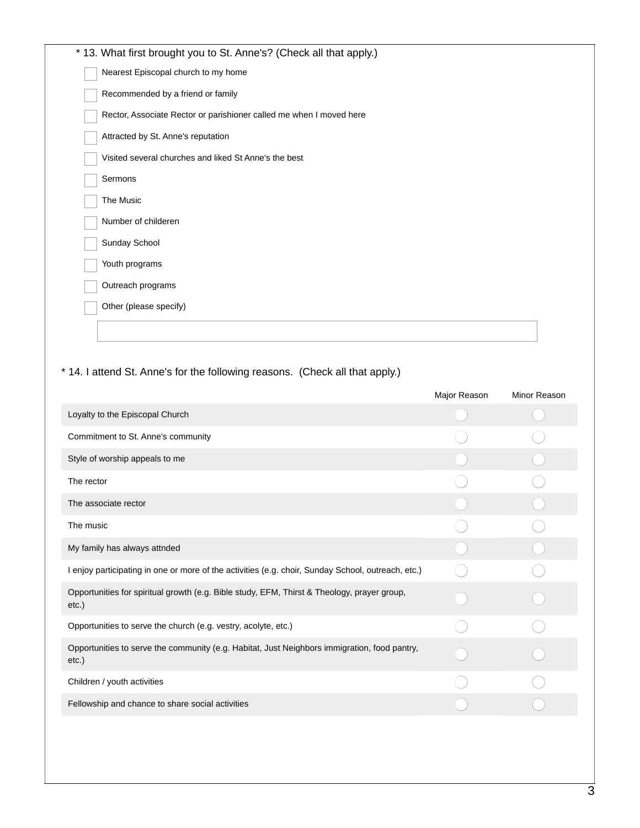|  | * 13. What first brought you to St. Anne's? (Check all that apply.) |  |
|--|---------------------------------------------------------------------|--|
|  | Nearest Episcopal church to my home                                 |  |
|  | Recommended by a friend or family                                   |  |
|  | Rector, Associate Rector or parishioner called me when I moved here |  |
|  | Attracted by St. Anne's reputation                                  |  |
|  | Visited several churches and liked St Anne's the best               |  |
|  | Sermons                                                             |  |
|  | The Music                                                           |  |
|  | Number of childeren                                                 |  |
|  | Sunday School                                                       |  |
|  | Youth programs                                                      |  |
|  | Outreach programs                                                   |  |
|  | Other (please specify)                                              |  |
|  |                                                                     |  |
|  |                                                                     |  |

## \* 14. I attend St. Anne's for the following reasons. (Check all that apply.)

|                                                                                                       | Major Reason | Minor Reason |
|-------------------------------------------------------------------------------------------------------|--------------|--------------|
| Loyalty to the Episcopal Church                                                                       |              |              |
| Commitment to St. Anne's community                                                                    |              |              |
| Style of worship appeals to me                                                                        |              |              |
| The rector                                                                                            |              |              |
| The associate rector                                                                                  |              |              |
| The music                                                                                             |              |              |
| My family has always attnded                                                                          |              |              |
| I enjoy participating in one or more of the activities (e.g. choir, Sunday School, outreach, etc.)    |              |              |
| Opportunities for spiritual growth (e.g. Bible study, EFM, Thirst & Theology, prayer group,<br>etc.)  |              |              |
| Opportunities to serve the church (e.g. vestry, acolyte, etc.)                                        |              |              |
| Opportunities to serve the community (e.g. Habitat, Just Neighbors immigration, food pantry,<br>etc.) |              |              |
| Children / youth activities                                                                           |              |              |
| Fellowship and chance to share social activities                                                      |              |              |
|                                                                                                       |              |              |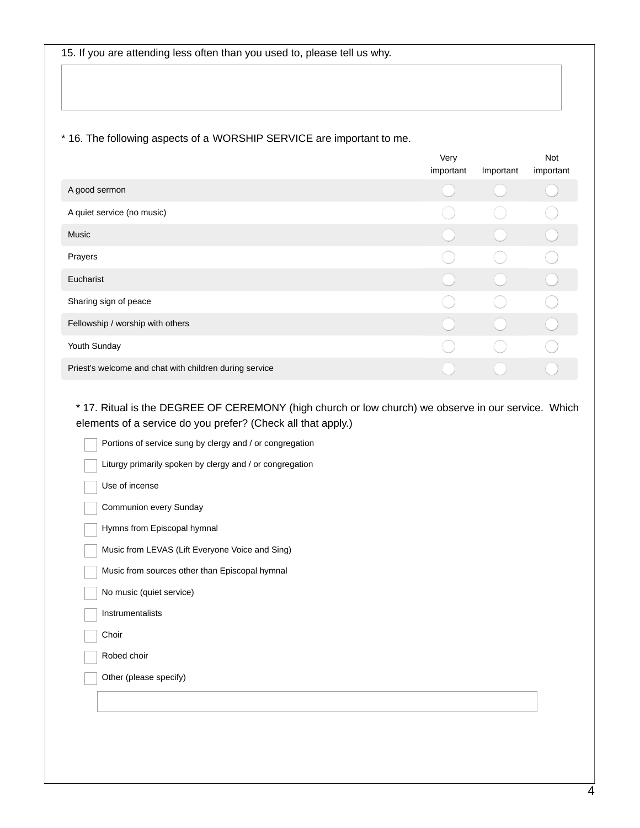## \* 16. The following aspects of a WORSHIP SERVICE are important to me.

|                                                        | Very<br>important | Important | Not<br>important |
|--------------------------------------------------------|-------------------|-----------|------------------|
| A good sermon                                          |                   |           |                  |
| A quiet service (no music)                             |                   |           |                  |
| Music                                                  |                   |           |                  |
| Prayers                                                |                   |           |                  |
| Eucharist                                              |                   |           |                  |
| Sharing sign of peace                                  |                   |           |                  |
| Fellowship / worship with others                       |                   |           |                  |
| Youth Sunday                                           |                   |           |                  |
| Priest's welcome and chat with children during service |                   |           |                  |

\* 17. Ritual is the DEGREE OF CEREMONY (high church or low church) we observe in our service. Which elements of a service do you prefer? (Check all that apply.)

| Portions of service sung by clergy and / or congregation |
|----------------------------------------------------------|
| Liturgy primarily spoken by clergy and / or congregation |
| Use of incense                                           |
| Communion every Sunday                                   |
| Hymns from Episcopal hymnal                              |
| Music from LEVAS (Lift Everyone Voice and Sing)          |
| Music from sources other than Episcopal hymnal           |
| No music (quiet service)                                 |
| Instrumentalists                                         |
| Choir                                                    |
| Robed choir                                              |
| Other (please specify)                                   |
|                                                          |
|                                                          |
|                                                          |
|                                                          |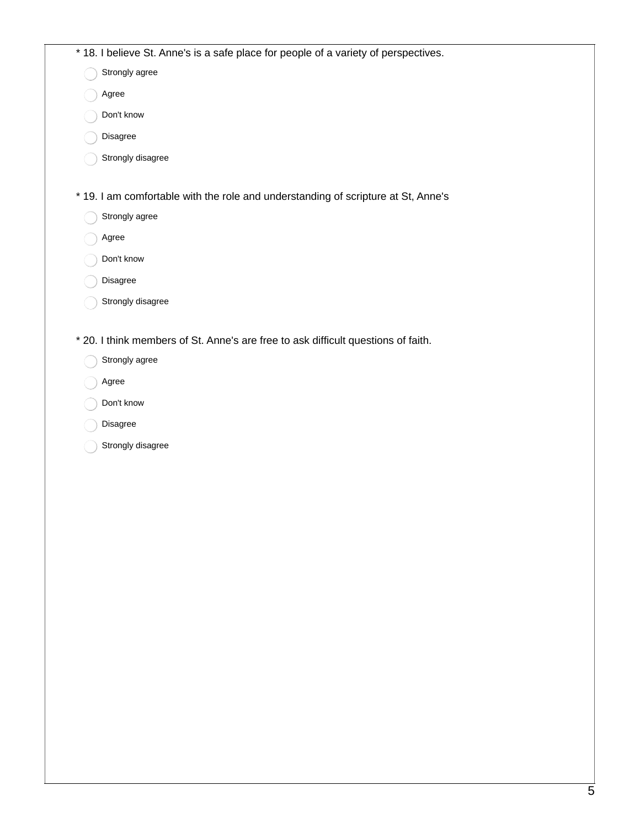|  | * 18. I believe St. Anne's is a safe place for people of a variety of perspectives. |
|--|-------------------------------------------------------------------------------------|
|  | Strongly agree                                                                      |
|  | Agree                                                                               |
|  | Don't know                                                                          |
|  | Disagree                                                                            |
|  | Strongly disagree                                                                   |
|  |                                                                                     |
|  | * 19. I am comfortable with the role and understanding of scripture at St, Anne's   |
|  | Strongly agree                                                                      |
|  | Agree                                                                               |
|  | Don't know                                                                          |
|  | Disagree                                                                            |
|  | Strongly disagree                                                                   |
|  |                                                                                     |
|  | * 20. I think members of St. Anne's are free to ask difficult questions of faith.   |
|  | Strongly agree                                                                      |
|  | Agree                                                                               |
|  | Don't know                                                                          |
|  | Disagree                                                                            |
|  | Strongly disagree                                                                   |
|  |                                                                                     |
|  |                                                                                     |
|  |                                                                                     |
|  |                                                                                     |
|  |                                                                                     |
|  |                                                                                     |
|  |                                                                                     |
|  |                                                                                     |
|  |                                                                                     |
|  |                                                                                     |
|  |                                                                                     |
|  |                                                                                     |
|  |                                                                                     |
|  |                                                                                     |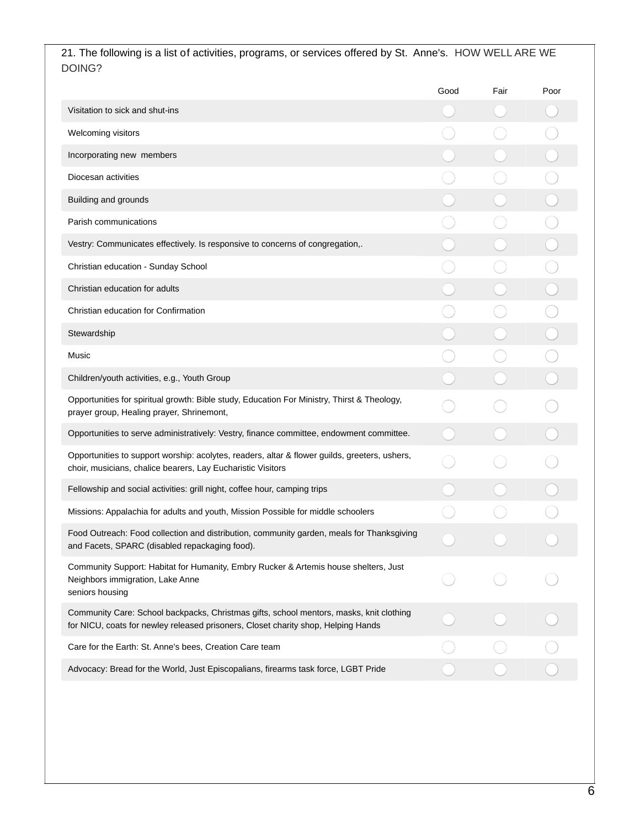21. The following is a list of activities, programs, or services offered by St. Anne's. HOW WELL ARE WE DOING?

|                                                                                                                                                                              | Good | Fair | Poor |
|------------------------------------------------------------------------------------------------------------------------------------------------------------------------------|------|------|------|
| Visitation to sick and shut-ins                                                                                                                                              |      |      |      |
| Welcoming visitors                                                                                                                                                           |      |      |      |
| Incorporating new members                                                                                                                                                    |      |      |      |
| Diocesan activities                                                                                                                                                          |      |      |      |
| Building and grounds                                                                                                                                                         |      |      |      |
| Parish communications                                                                                                                                                        |      |      |      |
| Vestry: Communicates effectively. Is responsive to concerns of congregation,.                                                                                                |      |      |      |
| Christian education - Sunday School                                                                                                                                          |      |      |      |
| Christian education for adults                                                                                                                                               |      |      |      |
| Christian education for Confirmation                                                                                                                                         |      |      |      |
| Stewardship                                                                                                                                                                  |      |      |      |
| Music                                                                                                                                                                        |      |      |      |
| Children/youth activities, e.g., Youth Group                                                                                                                                 |      |      |      |
| Opportunities for spiritual growth: Bible study, Education For Ministry, Thirst & Theology,<br>prayer group, Healing prayer, Shrinemont,                                     |      |      |      |
| Opportunities to serve administratively: Vestry, finance committee, endowment committee.                                                                                     |      |      |      |
| Opportunities to support worship: acolytes, readers, altar & flower guilds, greeters, ushers,<br>choir, musicians, chalice bearers, Lay Eucharistic Visitors                 |      |      |      |
| Fellowship and social activities: grill night, coffee hour, camping trips                                                                                                    |      |      |      |
| Missions: Appalachia for adults and youth, Mission Possible for middle schoolers                                                                                             |      |      |      |
| Food Outreach: Food collection and distribution, community garden, meals for Thanksgiving<br>and Facets, SPARC (disabled repackaging food).                                  |      |      |      |
| Community Support: Habitat for Humanity, Embry Rucker & Artemis house shelters, Just<br>Neighbors immigration, Lake Anne<br>seniors housing                                  |      |      |      |
| Community Care: School backpacks, Christmas gifts, school mentors, masks, knit clothing<br>for NICU, coats for newley released prisoners, Closet charity shop, Helping Hands |      |      |      |
| Care for the Earth: St. Anne's bees, Creation Care team                                                                                                                      |      |      |      |
| Advocacy: Bread for the World, Just Episcopalians, firearms task force, LGBT Pride                                                                                           |      |      |      |
|                                                                                                                                                                              |      |      |      |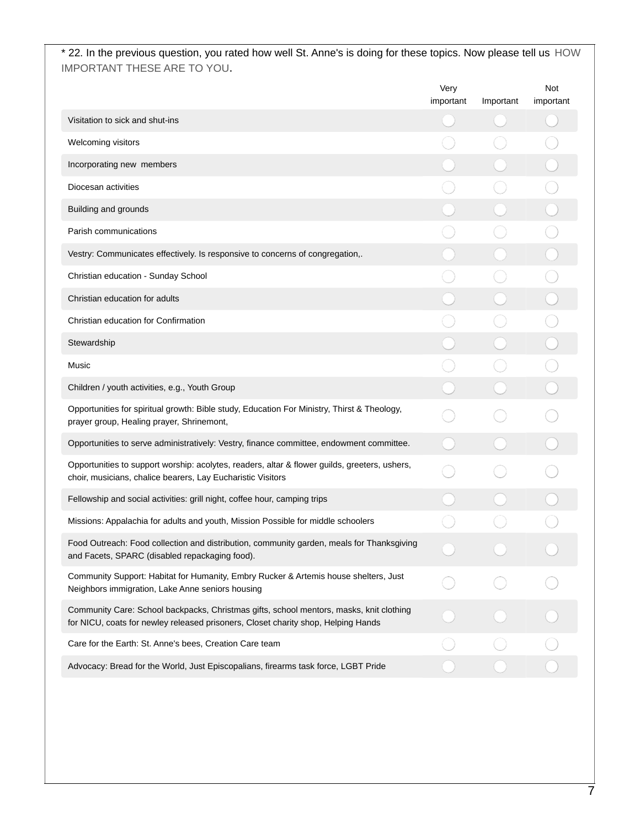\* 22. In the previous question, you rated how well St. Anne's is doing for these topics. Now please tell us HOW IMPORTANT THESE ARE TO YOU**.**

|                                                                                                                                                                              | Very<br>important | Important | Not<br>important |
|------------------------------------------------------------------------------------------------------------------------------------------------------------------------------|-------------------|-----------|------------------|
| Visitation to sick and shut-ins                                                                                                                                              |                   |           |                  |
| Welcoming visitors                                                                                                                                                           |                   |           |                  |
| Incorporating new members                                                                                                                                                    |                   |           |                  |
| Diocesan activities                                                                                                                                                          |                   |           |                  |
| Building and grounds                                                                                                                                                         |                   |           |                  |
| Parish communications                                                                                                                                                        |                   |           |                  |
| Vestry: Communicates effectively. Is responsive to concerns of congregation,.                                                                                                |                   |           |                  |
| Christian education - Sunday School                                                                                                                                          |                   |           |                  |
| Christian education for adults                                                                                                                                               |                   |           |                  |
| Christian education for Confirmation                                                                                                                                         |                   |           |                  |
| Stewardship                                                                                                                                                                  |                   |           |                  |
| Music                                                                                                                                                                        |                   |           |                  |
| Children / youth activities, e.g., Youth Group                                                                                                                               |                   |           |                  |
| Opportunities for spiritual growth: Bible study, Education For Ministry, Thirst & Theology,<br>prayer group, Healing prayer, Shrinemont,                                     |                   |           |                  |
| Opportunities to serve administratively: Vestry, finance committee, endowment committee.                                                                                     |                   |           |                  |
| Opportunities to support worship: acolytes, readers, altar & flower guilds, greeters, ushers,<br>choir, musicians, chalice bearers, Lay Eucharistic Visitors                 |                   |           |                  |
| Fellowship and social activities: grill night, coffee hour, camping trips                                                                                                    |                   |           |                  |
| Missions: Appalachia for adults and youth, Mission Possible for middle schoolers                                                                                             |                   |           |                  |
| Food Outreach: Food collection and distribution, community garden, meals for Thanksgiving<br>and Facets, SPARC (disabled repackaging food).                                  |                   |           |                  |
| Community Support: Habitat for Humanity, Embry Rucker & Artemis house shelters, Just<br>Neighbors immigration, Lake Anne seniors housing                                     |                   |           |                  |
| Community Care: School backpacks, Christmas gifts, school mentors, masks, knit clothing<br>for NICU, coats for newley released prisoners, Closet charity shop, Helping Hands |                   |           |                  |
| Care for the Earth: St. Anne's bees, Creation Care team                                                                                                                      |                   |           |                  |
| Advocacy: Bread for the World, Just Episcopalians, firearms task force, LGBT Pride                                                                                           |                   |           |                  |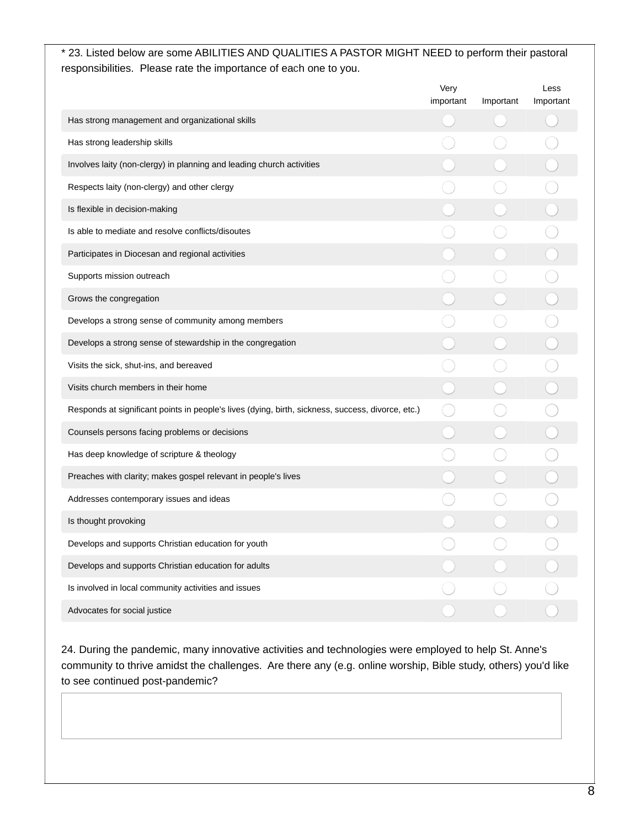## \* 23. Listed below are some ABILITIES AND QUALITIES A PASTOR MIGHT NEED to perform their pastoral responsibilities. Please rate the importance of each one to you.

|                                                                                                   | Very<br>important | Important | Less<br>Important |
|---------------------------------------------------------------------------------------------------|-------------------|-----------|-------------------|
| Has strong management and organizational skills                                                   |                   |           |                   |
| Has strong leadership skills                                                                      |                   |           |                   |
| Involves laity (non-clergy) in planning and leading church activities                             |                   |           |                   |
| Respects laity (non-clergy) and other clergy                                                      |                   |           |                   |
| Is flexible in decision-making                                                                    |                   |           |                   |
| Is able to mediate and resolve conflicts/disoutes                                                 |                   |           |                   |
| Participates in Diocesan and regional activities                                                  |                   |           |                   |
| Supports mission outreach                                                                         |                   |           |                   |
| Grows the congregation                                                                            |                   |           |                   |
| Develops a strong sense of community among members                                                |                   |           |                   |
| Develops a strong sense of stewardship in the congregation                                        |                   |           |                   |
| Visits the sick, shut-ins, and bereaved                                                           |                   |           |                   |
| Visits church members in their home                                                               |                   |           |                   |
| Responds at significant points in people's lives (dying, birth, sickness, success, divorce, etc.) |                   |           |                   |
| Counsels persons facing problems or decisions                                                     |                   |           |                   |
| Has deep knowledge of scripture & theology                                                        |                   |           |                   |
| Preaches with clarity; makes gospel relevant in people's lives                                    |                   |           |                   |
| Addresses contemporary issues and ideas                                                           |                   |           |                   |
| Is thought provoking                                                                              |                   |           |                   |
| Develops and supports Christian education for youth                                               |                   |           |                   |
| Develops and supports Christian education for adults                                              |                   |           |                   |
| Is involved in local community activities and issues                                              |                   |           |                   |
| Advocates for social justice                                                                      |                   |           |                   |

24. During the pandemic, many innovative activities and technologies were employed to help St. Anne's community to thrive amidst the challenges. Are there any (e.g. online worship, Bible study, others) you'd like to see continued post-pandemic?